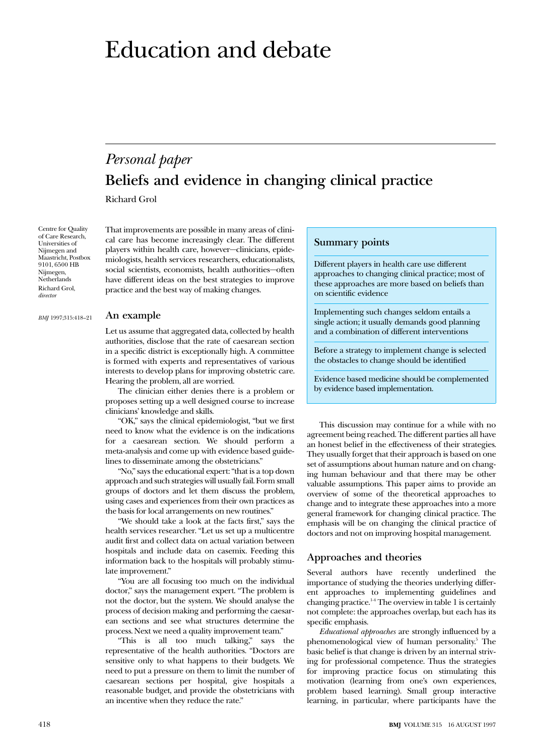# Education and debate

# *Personal paper* **Beliefs and evidence in changing clinical practice**

Richard Grol

Centre for Quality of Care Research, Universities of Nijmegen and Maastricht, Postbox 9101, 6500 HB Nijmegen, **Netherlands** Richard Grol, *director*

*BMJ* 1997;315:418–21

practice and the best way of making changes.

#### **An example**

Let us assume that aggregated data, collected by health authorities, disclose that the rate of caesarean section in a specific district is exceptionally high. A committee is formed with experts and representatives of various interests to develop plans for improving obstetric care. Hearing the problem, all are worried.

That improvements are possible in many areas of clinical care has become increasingly clear. The different players within health care, however—clinicians, epidemiologists, health services researchers, educationalists, social scientists, economists, health authorities—often have different ideas on the best strategies to improve

The clinician either denies there is a problem or proposes setting up a well designed course to increase clinicians' knowledge and skills.

"OK," says the clinical epidemiologist, "but we first need to know what the evidence is on the indications for a caesarean section. We should perform a meta-analysis and come up with evidence based guidelines to disseminate among the obstetricians."

"No," says the educational expert: "that is a top down approach and such strategies will usually fail. Form small groups of doctors and let them discuss the problem, using cases and experiences from their own practices as the basis for local arrangements on new routines."

"We should take a look at the facts first," says the health services researcher. "Let us set up a multicentre audit first and collect data on actual variation between hospitals and include data on casemix. Feeding this information back to the hospitals will probably stimulate improvement."

"You are all focusing too much on the individual doctor," says the management expert. "The problem is not the doctor, but the system. We should analyse the process of decision making and performing the caesarean sections and see what structures determine the process. Next we need a quality improvement team."

"This is all too much talking," says the representative of the health authorities. "Doctors are sensitive only to what happens to their budgets. We need to put a pressure on them to limit the number of caesarean sections per hospital, give hospitals a reasonable budget, and provide the obstetricians with an incentive when they reduce the rate."

# **Summary points**

Different players in health care use different approaches to changing clinical practice; most of these approaches are more based on beliefs than on scientific evidence

Implementing such changes seldom entails a single action; it usually demands good planning and a combination of different interventions

Before a strategy to implement change is selected the obstacles to change should be identified

Evidence based medicine should be complemented by evidence based implementation.

This discussion may continue for a while with no agreement being reached. The different parties all have an honest belief in the effectiveness of their strategies. They usually forget that their approach is based on one set of assumptions about human nature and on changing human behaviour and that there may be other valuable assumptions. This paper aims to provide an overview of some of the theoretical approaches to change and to integrate these approaches into a more general framework for changing clinical practice. The emphasis will be on changing the clinical practice of doctors and not on improving hospital management.

# **Approaches and theories**

Several authors have recently underlined the importance of studying the theories underlying different approaches to implementing guidelines and changing practice.<sup>14</sup> The overview in table 1 is certainly not complete: the approaches overlap, but each has its specific emphasis.

*Educational approaches* are strongly influenced by a phenomenological view of human personality.<sup>5</sup> The basic belief is that change is driven by an internal striving for professional competence. Thus the strategies for improving practice focus on stimulating this motivation (learning from one's own experiences, problem based learning). Small group interactive learning, in particular, where participants have the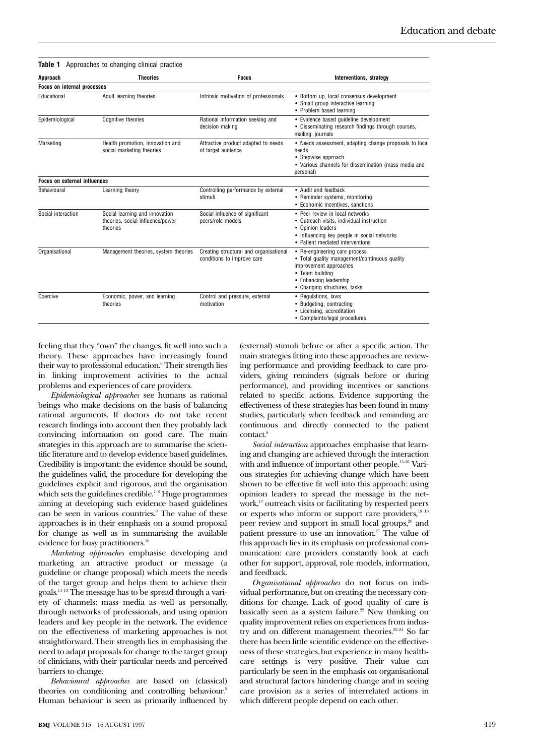| Approach                            | <b>Theories</b>                                                                | <b>Focus</b>                                                         | Interventions, strategy                                                                                                                                                               |  |
|-------------------------------------|--------------------------------------------------------------------------------|----------------------------------------------------------------------|---------------------------------------------------------------------------------------------------------------------------------------------------------------------------------------|--|
| <b>Focus on internal processes</b>  |                                                                                |                                                                      |                                                                                                                                                                                       |  |
| Educational                         | Adult learning theories                                                        | Intrinsic motivation of professionals                                | • Bottom up, local consensus development<br>• Small group interactive learning<br>• Problem based learning                                                                            |  |
| Epidemiological                     | Cognitive theories                                                             | Rational information seeking and<br>decision making                  | • Evidence based guideline development<br>• Disseminating research findings through courses,<br>mailing, journals                                                                     |  |
| Marketing                           | Health promotion, innovation and<br>social marketing theories                  | Attractive product adapted to needs<br>of target audience            | • Needs assessment, adapting change proposals to local<br>needs<br>• Stepwise approach<br>• Various channels for dissemination (mass media and<br>personal)                           |  |
| <b>Focus on external influences</b> |                                                                                |                                                                      |                                                                                                                                                                                       |  |
| Behavioural                         | Learning theory                                                                | Controlling performance by external<br>stimuli                       | • Audit and feedback<br>• Reminder systems, monitoring<br>• Economic incentives, sanctions                                                                                            |  |
| Social interaction                  | Social learning and innovation<br>theories, social influence/power<br>theories | Social influence of significant<br>peers/role models                 | • Peer review in local networks<br>• Outreach visits, individual instruction<br>• Opinion leaders<br>• Influencing key people in social networks<br>• Patient mediated interventions  |  |
| Organisational                      | Management theories, system theories                                           | Creating structural and organisational<br>conditions to improve care | • Re-engineering care process<br>• Total quality management/continuous quality<br>improvement approaches<br>• Team building<br>• Enhancing leadership<br>• Changing structures, tasks |  |
| Coercive                            | Economic, power, and learning<br>theories                                      | Control and pressure, external<br>motivation                         | • Regulations, laws<br>• Budgeting, contracting<br>• Licensing, accreditation<br>• Complaints/legal procedures                                                                        |  |

**Table 1** Approaches to changing clinical practice

feeling that they "own" the changes, fit well into such a theory. These approaches have increasingly found their way to professional education.<sup>6</sup> Their strength lies in linking improvement activities to the actual problems and experiences of care providers.

*Epidemiological approaches* see humans as rational beings who make decisions on the basis of balancing rational arguments. If doctors do not take recent research findings into account then they probably lack convincing information on good care. The main strategies in this approach are to summarise the scientific literature and to develop evidence based guidelines. Credibility is important: the evidence should be sound, the guidelines valid, the procedure for developing the guidelines explicit and rigorous, and the organisation which sets the guidelines credible.<sup>78</sup> Huge programmes aiming at developing such evidence based guidelines can be seen in various countries.<sup>9</sup> The value of these approaches is in their emphasis on a sound proposal for change as well as in summarising the available evidence for busy practitioners.<sup>10</sup>

*Marketing approaches* emphasise developing and marketing an attractive product or message (a guideline or change proposal) which meets the needs of the target group and helps them to achieve their goals.11-13 The message has to be spread through a variety of channels: mass media as well as personally, through networks of professionals, and using opinion leaders and key people in the network. The evidence on the effectiveness of marketing approaches is not straightforward. Their strength lies in emphasising the need to adapt proposals for change to the target group of clinicians, with their particular needs and perceived barriers to change.

*Behavioural approaches* are based on (classical) theories on conditioning and controlling behaviour.<sup>5</sup> Human behaviour is seen as primarily influenced by (external) stimuli before or after a specific action. The main strategies fitting into these approaches are reviewing performance and providing feedback to care providers, giving reminders (signals before or during performance), and providing incentives or sanctions related to specific actions. Evidence supporting the effectiveness of these strategies has been found in many studies, particularly when feedback and reminding are continuous and directly connected to the patient contact.<sup>8</sup>

*Social interaction* approaches emphasise that learning and changing are achieved through the interaction with and influence of important other people.<sup>13-16</sup> Various strategies for achieving change which have been shown to be effective fit well into this approach: using opinion leaders to spread the message in the network,<sup>17</sup> outreach visits or facilitating by respected peers or experts who inform or support care providers, $18^{18}$ peer review and support in small local groups,<sup>20</sup> and patient pressure to use an innovation.<sup>21</sup> The value of this approach lies in its emphasis on professional communication: care providers constantly look at each other for support, approval, role models, information, and feedback.

*Organisational approaches* do not focus on individual performance, but on creating the necessary conditions for change. Lack of good quality of care is basically seen as a system failure. $22$  New thinking on quality improvement relies on experiences from industry and on different management theories.<sup>22-24</sup> So far there has been little scientific evidence on the effectiveness of these strategies, but experience in many healthcare settings is very positive. Their value can particularly be seen in the emphasis on organisational and structural factors hindering change and in seeing care provision as a series of interrelated actions in which different people depend on each other.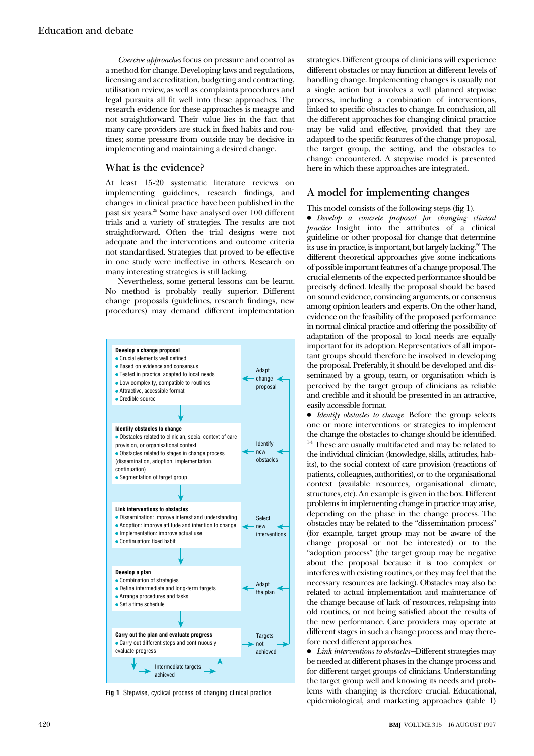*Coercive approaches* focus on pressure and control as a method for change. Developing laws and regulations, licensing and accreditation, budgeting and contracting, utilisation review, as well as complaints procedures and legal pursuits all fit well into these approaches. The research evidence for these approaches is meagre and not straightforward. Their value lies in the fact that many care providers are stuck in fixed habits and routines; some pressure from outside may be decisive in implementing and maintaining a desired change.

# **What is the evidence?**

At least 15-20 systematic literature reviews on implementing guidelines, research findings, and changes in clinical practice have been published in the past six years.25 Some have analysed over 100 different trials and a variety of strategies. The results are not straightforward. Often the trial designs were not adequate and the interventions and outcome criteria not standardised. Strategies that proved to be effective in one study were ineffective in others. Research on many interesting strategies is still lacking.

Nevertheless, some general lessons can be learnt. No method is probably really superior. Different change proposals (guidelines, research findings, new procedures) may demand different implementation



**Fig 1** Stepwise, cyclical process of changing clinical practice

strategies. Different groups of clinicians will experience different obstacles or may function at different levels of handling change. Implementing changes is usually not a single action but involves a well planned stepwise process, including a combination of interventions, linked to specific obstacles to change. In conclusion, all the different approaches for changing clinical practice may be valid and effective, provided that they are adapted to the specific features of the change proposal, the target group, the setting, and the obstacles to change encountered. A stepwise model is presented here in which these approaches are integrated.

# **A model for implementing changes**

#### This model consists of the following steps (fig 1).

x *Develop a concrete proposal for changing clinical practice—*Insight into the attributes of a clinical guideline or other proposal for change that determine its use in practice, is important, but largely lacking.<sup>26</sup> The different theoretical approaches give some indications of possible important features of a change proposal. The crucial elements of the expected performance should be precisely defined. Ideally the proposal should be based on sound evidence, convincing arguments, or consensus among opinion leaders and experts. On the other hand, evidence on the feasibility of the proposed performance in normal clinical practice and offering the possibility of adaptation of the proposal to local needs are equally important for its adoption. Representatives of all important groups should therefore be involved in developing the proposal. Preferably, it should be developed and disseminated by a group, team, or organisation which is perceived by the target group of clinicians as reliable and credible and it should be presented in an attractive, easily accessible format.

x *Identify obstacles to change—*Before the group selects one or more interventions or strategies to implement the change the obstacles to change should be identified. <sup>14</sup> These are usually multifaceted and may be related to the individual clinician (knowledge, skills, attitudes, habits), to the social context of care provision (reactions of patients, colleagues, authorities), or to the organisational context (available resources, organisational climate, structures, etc). An example is given in the box. Different problems in implementing change in practice may arise, depending on the phase in the change process. The obstacles may be related to the "dissemination process" (for example, target group may not be aware of the change proposal or not be interested) or to the "adoption process" (the target group may be negative about the proposal because it is too complex or interferes with existing routines, or they may feel that the necessary resources are lacking). Obstacles may also be related to actual implementation and maintenance of the change because of lack of resources, relapsing into old routines, or not being satisfied about the results of the new performance. Care providers may operate at different stages in such a change process and may therefore need different approaches.

x *Link interventions to obstacles—*Different strategies may be needed at different phases in the change process and for different target groups of clinicians. Understanding the target group well and knowing its needs and problems with changing is therefore crucial. Educational, epidemiological, and marketing approaches (table 1)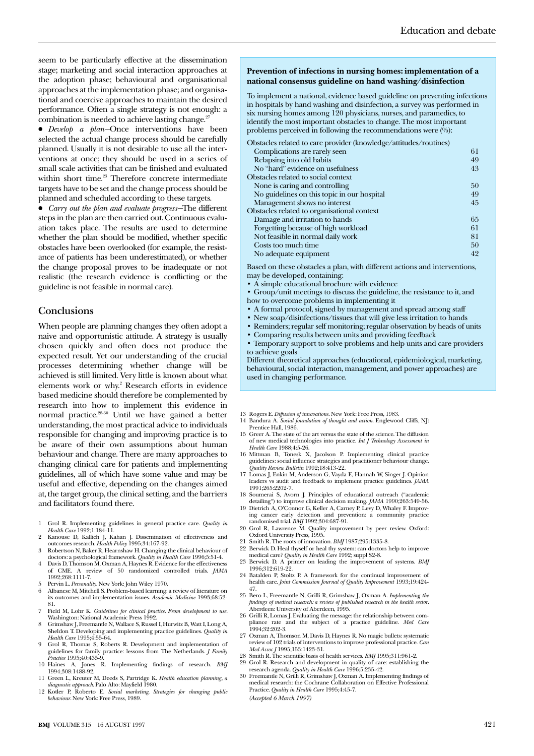seem to be particularly effective at the dissemination stage; marketing and social interaction approaches at the adoption phase; behavioural and organisational approaches at the implementation phase; and organisational and coercive approaches to maintain the desired performance. Often a single strategy is not enough: a combination is needed to achieve lasting change.<sup>2</sup>

x *Develop a plan—*Once interventions have been selected the actual change process should be carefully planned. Usually it is not desirable to use all the interventions at once; they should be used in a series of small scale activities that can be finished and evaluated within short time.<sup>23</sup> Therefore concrete intermediate targets have to be set and the change process should be planned and scheduled according to these targets.

x *Carry out the plan and evaluate progress—*The different steps in the plan are then carried out. Continuous evaluation takes place. The results are used to determine whether the plan should be modified, whether specific obstacles have been overlooked (for example, the resistance of patients has been underestimated), or whether the change proposal proves to be inadequate or not realistic (the research evidence is conflicting or the guideline is not feasible in normal care).

### **Conclusions**

When people are planning changes they often adopt a naive and opportunistic attitude. A strategy is usually chosen quickly and often does not produce the expected result. Yet our understanding of the crucial processes determining whether change will be achieved is still limited. Very little is known about what elements work or why.<sup>2</sup> Research efforts in evidence based medicine should therefore be complemented by research into how to implement this evidence in normal practice.28-30 Until we have gained a better understanding, the most practical advice to individuals responsible for changing and improving practice is to be aware of their own assumptions about human behaviour and change. There are many approaches to changing clinical care for patients and implementing guidelines, all of which have some value and may be useful and effective, depending on the changes aimed at, the target group, the clinical setting, and the barriers and facilitators found there.

- 1 Grol R. Implementing guidelines in general practice care. *Quality in Health Care* 1992;1:184-11.
- 2 Kanouse D, Kallich J, Kahan J. Dissemination of effectiveness and outcomes research. *Health Policy* 1995;34:167-92.
- 3 Robertson N, Baker R, Hearnshaw H. Changing the clinical behaviour of doctors: a psychological framework. *Quality in Health Care* 1996;5:51-4. 4 Davis D, Thomson M, Oxman A, Haynes R. Evidence for the effectiveness
- of CME. A review of 50 randomized controlled trials. *JAMA* 1992;268:1111-7.
- 5 Pervin L. *Personality*. New York: John Wiley 1970.
- 6 Albanese M, Mitchell S. Problem-based learning: a review of literature on its outcomes and implementation issues. *Academic Medicine* 1993;68:52-
- 81. 7 Field M, Lohr K. *Guidelines for clinical practice. From development to use*. Washington: National Academic Press 1992.
- 8 Grimshaw J, Freemantle N, Wallace S, Russel I, Hurwitz B, Watt I, Long A, Sheldon T. Developing and implementing practice guidelines. *Quality in Health Care* 1995;4:55-64.
- 9 Grol R, Thomas S, Roberts R. Development and implementation of guidelines for family practice: lessons from The Netherlands. *J Family Practice* 1995;40:435-9.
- 10 Haines A, Jones R. Implementing findings of research. *BMJ* 1994;308:1488-92.
- 11 Green L, Kreuter M, Deeds S, Partridge K. *Health education planning, a diagnostic approach*. Palo Alto: Mayfield 1980.
- 12 Kotler P, Roberto E. *Social marketing. Strategies for changing public behaviour*. New York: Free Press, 1989.

#### **Prevention of infections in nursing homes: implementation of a national consensus guideline on hand washing/disinfection**

To implement a national, evidence based guideline on preventing infections in hospitals by hand washing and disinfection, a survey was performed in six nursing homes among 120 physicians, nurses, and paramedics, to identify the most important obstacles to change. The most important problems perceived in following the recommendations were  $(\sqrt[6]{\theta})$ :

| Obstacles related to care provider (knowledge/attitudes/routines) |    |
|-------------------------------------------------------------------|----|
| Complications are rarely seen                                     | 61 |
| Relapsing into old habits                                         | 49 |
| No "hard" evidence on usefulness                                  | 43 |
| Obstacles related to social context                               |    |
| None is caring and controlling                                    | 50 |
| No guidelines on this topic in our hospital                       | 49 |
| Management shows no interest                                      | 45 |
| Obstacles related to organisational context                       |    |
| Damage and irritation to hands                                    | 65 |
| Forgetting because of high workload                               | 61 |
| Not feasible in normal daily work                                 | 81 |
| Costs too much time                                               | 50 |
| No adequate equipment                                             | 42 |
|                                                                   |    |

Based on these obstacles a plan, with different actions and interventions, may be developed, containing:

- A simple educational brochure with evidence
- Group/unit meetings to discuss the guideline, the resistance to it, and how to overcome problems in implementing it
- A formal protocol, signed by management and spread among staff
- New soap/disinfections/tissues that will give less irritation to hands
- Reminders; regular self monitoring; regular observation by heads of units
- Comparing results between units and providing feedback
- Temporary support to solve problems and help units and care providers to achieve goals

Different theoretical approaches (educational, epidemiological, marketing, behavioural, social interaction, management, and power approaches) are used in changing performance.

- 13 Rogers E. *Diffusion of innovations*. New York: Free Press, 1983.
- 14 Bandura A. *Social foundation of thought and action*. Englewood Cliffs, NJ: Prentice Hall, 1986.
- 15 Greer A. The state of the art versus the state of the science. The diffusion of new medical technologies into practice. *Int J Technology Assessment in Health Care* 1988;4:5-26.
- 16 Mittman B, Tonesk X, Jacolson P. Implementing clinical practice guidelines: social influence strategies and practitioner behaviour change. *Quality Review Bulletin* 1992;18:413-22.
- 17 Lomas J, Enkin M, Anderson G, Vayda E, Hannah W, Singer J. Opinion leaders vs audit and feedback to implement practice guidelines. *JAMA* 1991;265:2202-7.
- 18 Soumerai S, Avorn J. Principles of educational outreach ("academic detailing") to improve clinical decision making. *JAMA* 1990;263:549-56.
- 19 Dietrich A, O'Connor G, Keller A, Carney P, Levy D, Whaley F. Improving cancer early detection and prevention: a community practice randomised trial. *BMJ* 1992;304:687-91.
- 20 Grol R, Lawrence M. Quality improvement by peer review. Oxford: Oxford University Press, 1995.
- 21 Smith R. The roots of innovation. *BMJ* 1987;295:1335-8.
- 22 Berwick D. Heal thyself or heal thy system: can doctors help to improve medical care? *Quality in Health Care* 1992; suppl S2-8.
- 23 Berwick D. A primer on leading the improvement of systems. *BMJ* 1996;312:619-22.
- 24 Batalden P, Stoltz P. A framework for the continual improvement of health care. *Joint Commission Journal of Quality Improvement* 1993;19:424- 47.
- 25 Bero L, Freemantle N, Grilli R, Grimshaw J, Oxman A. *Implementing the findings of medical research: a review of published research in the health sector*. Aberdeen: University of Aberdeen, 1995.
- 26 Grilli R, Lomas J. Evaluating the message: the relationship between com-pliance rate and the subject of a practice guideline. *Med Care* 1994;32:202-3.
- 27 Oxman A, Thomson M, Davis D, Haynes R. No magic bullets: systematic review of 102 trials of interventions to improve professional practice. *Can*
- *Med Assoc J* 1995;153:1423-31. 28 Smith R. The scientific basis of health services. *BMJ* 1995;311:961-2.
- 29 Grol R. Research and development in quality of care: establishing the
- research agenda. *Quality in Health Care* 1996;5:235-42. 30 Freemantle N, Grilli R, Grimshaw J, Oxman A. Implementing findings of medical research: the Cochrane Collaboration on Effective Professional Practice. *Quality in Health Care* 1995;4:45-7. *(Accepted 6 March 1997)*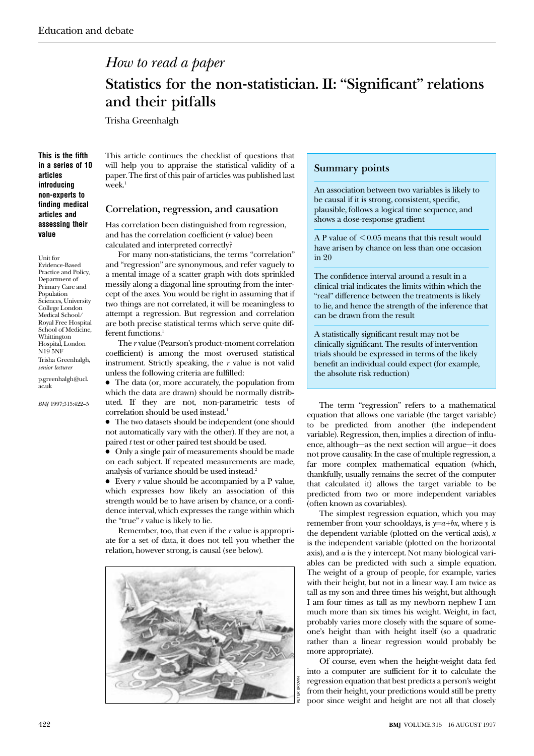# *How to read a paper*

# **Statistics for the non-statistician. II: "Significant" relations and their pitfalls**

Trisha Greenhalgh

**This is the fifth in a series of 10 articles introducing non-experts to finding medical articles and assessing their value**

Unit for Evidence-Based Practice and Policy, Department of Primary Care and Population Sciences, University College London Medical School/ Royal Free Hospital School of Medicine, Whittington Hospital, London N19 5NF Trisha Greenhalgh, *senior lecturer* p.greenhalgh@ucl. ac.uk

*BMJ* 1997;315:422–5

This article continues the checklist of questions that will help you to appraise the statistical validity of a paper. The first of this pair of articles was published last  $\text{week}$ <sup>1</sup>

#### **Correlation, regression, and causation**

Has correlation been distinguished from regression, and has the correlation coefficient (*r* value) been calculated and interpreted correctly?

For many non-statisticians, the terms "correlation" and "regression" are synonymous, and refer vaguely to a mental image of a scatter graph with dots sprinkled messily along a diagonal line sprouting from the intercept of the axes. You would be right in assuming that if two things are not correlated, it will be meaningless to attempt a regression. But regression and correlation are both precise statistical terms which serve quite different functions.<sup>1</sup>

The *r* value (Pearson's product-moment correlation coefficient) is among the most overused statistical instrument. Strictly speaking, the *r* value is not valid unless the following criteria are fulfilled:

• The data (or, more accurately, the population from which the data are drawn) should be normally distributed. If they are not, non-parametric tests of correlation should be used instead.<sup>1</sup>

• The two datasets should be independent (one should not automatically vary with the other). If they are not, a paired *t* test or other paired test should be used.

x Only a single pair of measurements should be made on each subject. If repeated measurements are made, analysis of variance should be used instead.2

 $\bullet$  Every *r* value should be accompanied by a P value, which expresses how likely an association of this strength would be to have arisen by chance, or a confidence interval, which expresses the range within which the "true" *r* value is likely to lie.

Remember, too, that even if the *r* value is appropriate for a set of data, it does not tell you whether the relation, however strong, is causal (see below).



### **Summary points**

An association between two variables is likely to be causal if it is strong, consistent, specific, plausible, follows a logical time sequence, and shows a dose-response gradient

A P value of  $\leq 0.05$  means that this result would have arisen by chance on less than one occasion in 20

The confidence interval around a result in a clinical trial indicates the limits within which the "real" difference between the treatments is likely to lie, and hence the strength of the inference that can be drawn from the result

A statistically significant result may not be clinically significant. The results of intervention trials should be expressed in terms of the likely benefit an individual could expect (for example, the absolute risk reduction)

The term "regression" refers to a mathematical equation that allows one variable (the target variable) to be predicted from another (the independent variable). Regression, then, implies a direction of influence, although—as the next section will argue—it does not prove causality. In the case of multiple regression, a far more complex mathematical equation (which, thankfully, usually remains the secret of the computer that calculated it) allows the target variable to be predicted from two or more independent variables (often known as covariables).

The simplest regression equation, which you may remember from your schooldays, is *y=a+bx*, where *y* is the dependent variable (plotted on the vertical axis), *x* is the independent variable (plotted on the horizontal axis), and *a* is the y intercept. Not many biological variables can be predicted with such a simple equation. The weight of a group of people, for example, varies with their height, but not in a linear way. I am twice as tall as my son and three times his weight, but although I am four times as tall as my newborn nephew I am much more than six times his weight. Weight, in fact, probably varies more closely with the square of someone's height than with height itself (so a quadratic rather than a linear regression would probably be more appropriate).

Of course, even when the height-weight data fed into a computer are sufficient for it to calculate the regression equation that best predicts a person's weight from their height, your predictions would still be pretty poor since weight and height are not all that closely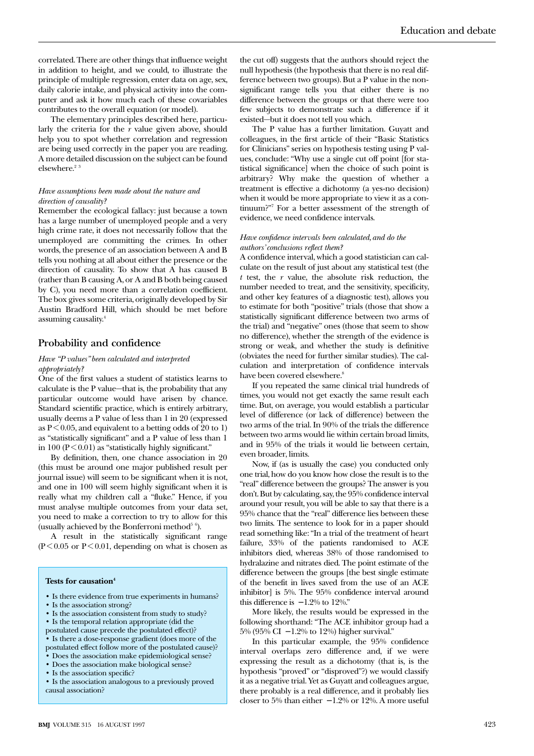correlated. There are other things that influence weight in addition to height, and we could, to illustrate the principle of multiple regression, enter data on age, sex, daily calorie intake, and physical activity into the computer and ask it how much each of these covariables contributes to the overall equation (or model).

The elementary principles described here, particularly the criteria for the *r* value given above, should help you to spot whether correlation and regression are being used correctly in the paper you are reading. A more detailed discussion on the subject can be found elsewhere.<sup>23</sup>

#### *Have assumptions been made about the nature and direction of causality?*

Remember the ecological fallacy: just because a town has a large number of unemployed people and a very high crime rate, it does not necessarily follow that the unemployed are committing the crimes. In other words, the presence of an association between A and B tells you nothing at all about either the presence or the direction of causality. To show that A has caused B (rather than B causing A, or A and B both being caused by C), you need more than a correlation coefficient. The box gives some criteria, originally developed by Sir Austin Bradford Hill, which should be met before assuming causality.4

#### **Probability and confidence**

#### *Have "P values" been calculated and interpreted appropriately?*

One of the first values a student of statistics learns to calculate is the P value—that is, the probability that any particular outcome would have arisen by chance. Standard scientific practice, which is entirely arbitrary, usually deems a P value of less than 1 in 20 (expressed as  $P \leq 0.05$ , and equivalent to a betting odds of 20 to 1) as "statistically significant" and a P value of less than 1 in 100 ( $P < 0.01$ ) as "statistically highly significant."

By definition, then, one chance association in 20 (this must be around one major published result per journal issue) will seem to be significant when it is not, and one in 100 will seem highly significant when it is really what my children call a "fluke." Hence, if you must analyse multiple outcomes from your data set, you need to make a correction to try to allow for this (usually achieved by the Bonferroni method<sup>5 6</sup>).

A result in the statistically significant range  $(P<0.05$  or  $P<0.01$ , depending on what is chosen as

#### **Tests for causation4**

- Is there evidence from true experiments in humans?
- Is the association strong?
- Is the association consistent from study to study?
- Is the temporal relation appropriate (did the
- postulated cause precede the postulated effect)?
- Is there a dose-response gradient (does more of the postulated effect follow more of the postulated cause)?
- Does the association make epidemiological sense?
- Does the association make biological sense?
- Is the association specific?

the cut off) suggests that the authors should reject the null hypothesis (the hypothesis that there is no real difference between two groups). But a P value in the nonsignificant range tells you that either there is no difference between the groups or that there were too few subjects to demonstrate such a difference if it existed—but it does not tell you which.

The P value has a further limitation. Guyatt and colleagues, in the first article of their "Basic Statistics for Clinicians" series on hypothesis testing using P values, conclude: "Why use a single cut off point [for statistical significance] when the choice of such point is arbitrary? Why make the question of whether a treatment is effective a dichotomy (a yes-no decision) when it would be more appropriate to view it as a continuum?"7 For a better assessment of the strength of evidence, we need confidence intervals.

#### *Have confidence intervals been calculated, and do the authors' conclusions reflect them?*

A confidence interval, which a good statistician can calculate on the result of just about any statistical test (the *t* test, the *r* value, the absolute risk reduction, the number needed to treat, and the sensitivity, specificity, and other key features of a diagnostic test), allows you to estimate for both "positive" trials (those that show a statistically significant difference between two arms of the trial) and "negative" ones (those that seem to show no difference), whether the strength of the evidence is strong or weak, and whether the study is definitive (obviates the need for further similar studies). The calculation and interpretation of confidence intervals have been covered elsewhere.<sup>8</sup>

If you repeated the same clinical trial hundreds of times, you would not get exactly the same result each time. But, on average, you would establish a particular level of difference (or lack of difference) between the two arms of the trial. In 90% of the trials the difference between two arms would lie within certain broad limits, and in 95% of the trials it would lie between certain, even broader, limits.

Now, if (as is usually the case) you conducted only one trial, how do you know how close the result is to the "real" difference between the groups? The answer is you don't. But by calculating, say, the 95% confidence interval around your result, you will be able to say that there is a 95% chance that the "real" difference lies between these two limits. The sentence to look for in a paper should read something like: "In a trial of the treatment of heart failure, 33% of the patients randomised to ACE inhibitors died, whereas 38% of those randomised to hydralazine and nitrates died. The point estimate of the difference between the groups [the best single estimate of the benefit in lives saved from the use of an ACE inhibitor] is 5%. The 95% confidence interval around this difference is  $-1.2\%$  to 12%."

More likely, the results would be expressed in the following shorthand: "The ACE inhibitor group had a 5% (95% CI − 1.2% to 12%) higher survival."

In this particular example, the 95% confidence interval overlaps zero difference and, if we were expressing the result as a dichotomy (that is, is the hypothesis "proved" or "disproved"?) we would classify it as a negative trial. Yet as Guyatt and colleagues argue, there probably is a real difference, and it probably lies closer to 5% than either  $-1.2\%$  or 12%. A more useful

<sup>•</sup> Is the association analogous to a previously proved causal association?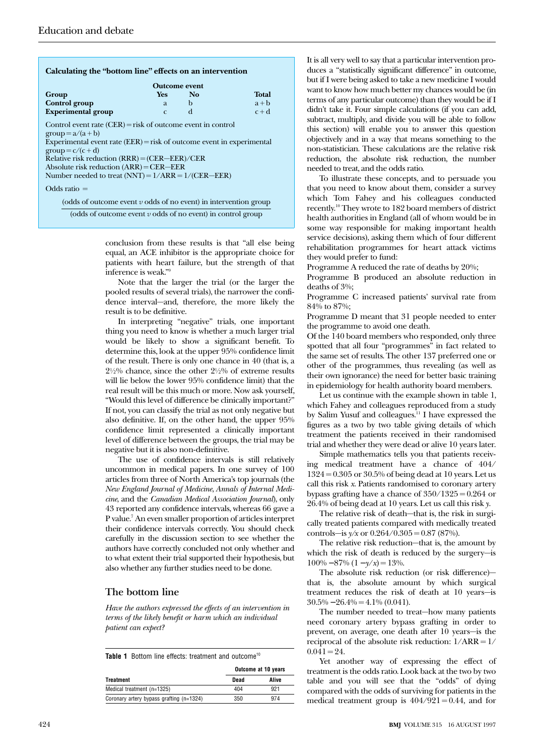|                                                                                                                                                                                                                                                                                  | <b>Outcome event</b> |                |              |
|----------------------------------------------------------------------------------------------------------------------------------------------------------------------------------------------------------------------------------------------------------------------------------|----------------------|----------------|--------------|
| Group                                                                                                                                                                                                                                                                            | <b>Yes</b>           | N <sub>o</sub> | <b>Total</b> |
| <b>Control</b> group                                                                                                                                                                                                                                                             | a                    | b              | $a + b$      |
| <b>Experimental group</b>                                                                                                                                                                                                                                                        | $\mathcal{C}$        | d              | $c + d$      |
| Experimental event rate $(EER) = risk$ of outcome event in experimental<br>$group = c/(c + d)$<br>Relative risk reduction $(RRR) = (CER - EER) / CER$<br>Absolute risk reduction $(ARR) = CER - EER$<br>Number needed to treat $(NNT) = 1/ARR = 1/(CER - EER)$<br>Odds ratio $=$ |                      |                |              |

(odds of outcome event *v* odds of no event) in intervention group

(odds of outcome event *v* odds of no event) in control group

conclusion from these results is that "all else being equal, an ACE inhibitor is the appropriate choice for patients with heart failure, but the strength of that inference is weak."9

Note that the larger the trial (or the larger the pooled results of several trials), the narrower the confidence interval—and, therefore, the more likely the result is to be definitive.

In interpreting "negative" trials, one important thing you need to know is whether a much larger trial would be likely to show a significant benefit. To determine this, look at the upper 95% confidence limit of the result. There is only one chance in 40 (that is, a  $2\frac{1}{2}\%$  chance, since the other  $2\frac{1}{2}\%$  of extreme results will lie below the lower 95% confidence limit) that the real result will be this much or more. Now ask yourself, "Would this level of difference be clinically important?" If not, you can classify the trial as not only negative but also definitive. If, on the other hand, the upper 95% confidence limit represented a clinically important level of difference between the groups, the trial may be negative but it is also non-definitive.

The use of confidence intervals is still relatively uncommon in medical papers. In one survey of 100 articles from three of North America's top journals (the *New England Journal of Medicine*, *Annals of Internal Medicine*, and the *Canadian Medical Association Journal*), only 43 reported any confidence intervals, whereas 66 gave a P value.7 An even smaller proportion of articles interpret their confidence intervals correctly. You should check carefully in the discussion section to see whether the authors have correctly concluded not only whether and to what extent their trial supported their hypothesis, but also whether any further studies need to be done.

# **The bottom line**

*Have the authors expressed the effects of an intervention in terms of the likely benefit or harm which an individual patient can expect?*

| Table 1 Bottom line effects: treatment and outcome <sup>10</sup> |                     |       |  |  |
|------------------------------------------------------------------|---------------------|-------|--|--|
|                                                                  | Outcome at 10 years |       |  |  |
| <b>Treatment</b>                                                 | Dead                | Alive |  |  |
| Medical treatment (n=1325)                                       | 404                 | 921   |  |  |
| Coronary artery bypass grafting (n=1324)                         | 350                 | 974   |  |  |

It is all very well to say that a particular intervention produces a "statistically significant difference" in outcome, but if I were being asked to take a new medicine I would want to know how much better my chances would be (in terms of any particular outcome) than they would be if I didn't take it. Four simple calculations (if you can add, subtract, multiply, and divide you will be able to follow this section) will enable you to answer this question objectively and in a way that means something to the non-statistician. These calculations are the relative risk reduction, the absolute risk reduction, the number needed to treat, and the odds ratio.

To illustrate these concepts, and to persuade you that you need to know about them, consider a survey which Tom Fahey and his colleagues conducted recently.10 They wrote to 182 board members of district health authorities in England (all of whom would be in some way responsible for making important health service decisions), asking them which of four different rehabilitation programmes for heart attack victims they would prefer to fund:

Programme A reduced the rate of deaths by 20%;

Programme B produced an absolute reduction in deaths of 3%;

Programme C increased patients' survival rate from 84% to 87%;

Programme D meant that 31 people needed to enter the programme to avoid one death.

Of the 140 board members who responded, only three spotted that all four "programmes" in fact related to the same set of results. The other 137 preferred one or other of the programmes, thus revealing (as well as their own ignorance) the need for better basic training in epidemiology for health authority board members.

Let us continue with the example shown in table 1, which Fahey and colleagues reproduced from a study by Salim Yusuf and colleagues.11 I have expressed the figures as a two by two table giving details of which treatment the patients received in their randomised trial and whether they were dead or alive 10 years later.

Simple mathematics tells you that patients receiving medical treatment have a chance of 404/ 1324 = 0.305 or 30.5% of being dead at 10 years. Let us call this risk *x*. Patients randomised to coronary artery bypass grafting have a chance of  $350/1325 = 0.264$  or 26.4% of being dead at 10 years. Let us call this risk *y*.

The relative risk of death—that is, the risk in surgically treated patients compared with medically treated controls—is  $y/x$  or  $0.264/0.305 = 0.87$  (87%).

The relative risk reduction—that is, the amount by which the risk of death is reduced by the surgery—is  $100\% - 87\% (1 - y/x) = 13\%.$ 

The absolute risk reduction (or risk difference) that is, the absolute amount by which surgical treatment reduces the risk of death at 10 years—is  $30.5\% - 26.4\% = 4.1\% (0.041).$ 

The number needed to treat—how many patients need coronary artery bypass grafting in order to prevent, on average, one death after 10 years—is the reciprocal of the absolute risk reduction:  $1/ARR = 1/$  $0.041 = 24.$ 

Yet another way of expressing the effect of treatment is the odds ratio. Look back at the two by two table and you will see that the "odds" of dying compared with the odds of surviving for patients in the medical treatment group is  $404/921 = 0.44$ , and for